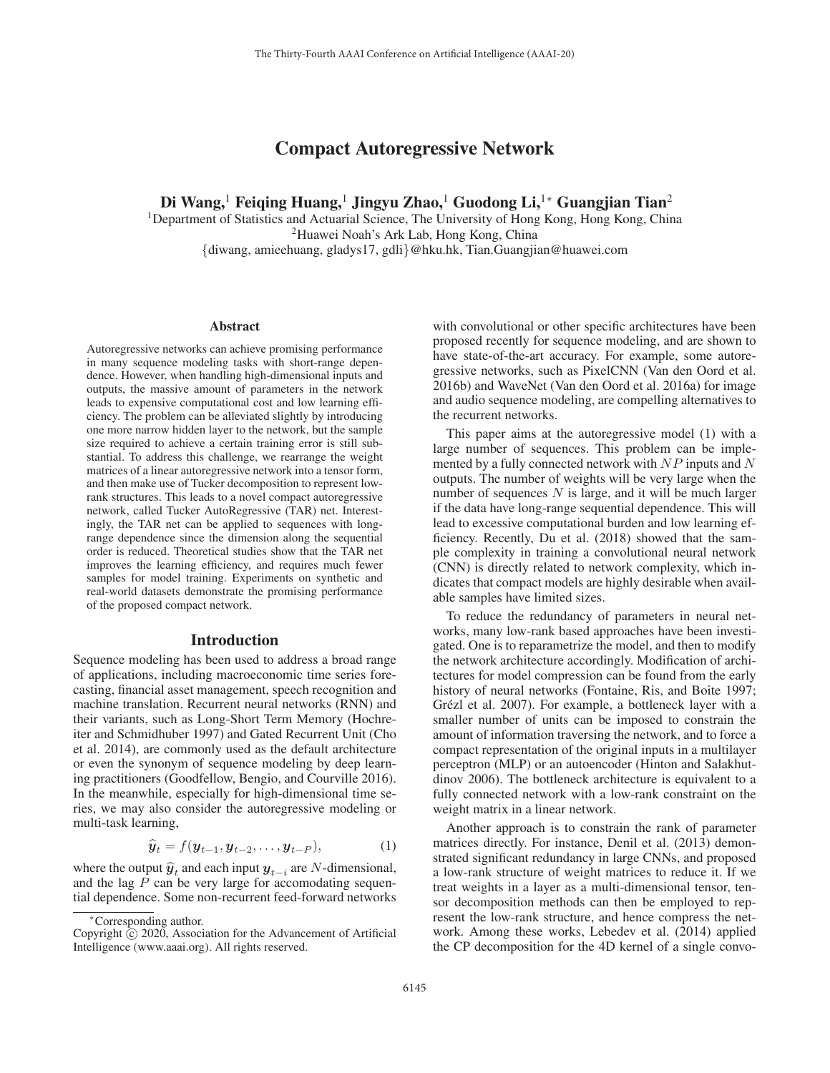# Compact Autoregressive Network

Di Wang,<sup>1</sup> Feiging Huang,<sup>1</sup> Jingyu Zhao,<sup>1</sup> Guodong Li,<sup>1</sup>\* Guangjian Tian<sup>2</sup>

<sup>1</sup>Department of Statistics and Actuarial Science, The University of Hong Kong, Hong Kong, China 2Huawei Noah's Ark Lab, Hong Kong, China {diwang, amieehuang, gladys17, gdli}@hku.hk, Tian.Guangjian@huawei.com

#### Abstract

Autoregressive networks can achieve promising performance in many sequence modeling tasks with short-range dependence. However, when handling high-dimensional inputs and outputs, the massive amount of parameters in the network leads to expensive computational cost and low learning efficiency. The problem can be alleviated slightly by introducing one more narrow hidden layer to the network, but the sample size required to achieve a certain training error is still substantial. To address this challenge, we rearrange the weight matrices of a linear autoregressive network into a tensor form, and then make use of Tucker decomposition to represent lowrank structures. This leads to a novel compact autoregressive network, called Tucker AutoRegressive (TAR) net. Interestingly, the TAR net can be applied to sequences with longrange dependence since the dimension along the sequential order is reduced. Theoretical studies show that the TAR net improves the learning efficiency, and requires much fewer samples for model training. Experiments on synthetic and real-world datasets demonstrate the promising performance of the proposed compact network.

### Introduction

Sequence modeling has been used to address a broad range of applications, including macroeconomic time series forecasting, financial asset management, speech recognition and machine translation. Recurrent neural networks (RNN) and their variants, such as Long-Short Term Memory (Hochreiter and Schmidhuber 1997) and Gated Recurrent Unit (Cho et al. 2014), are commonly used as the default architecture or even the synonym of sequence modeling by deep learning practitioners (Goodfellow, Bengio, and Courville 2016). In the meanwhile, especially for high-dimensional time series, we may also consider the autoregressive modeling or multi-task learning,

$$
\widehat{\boldsymbol{y}}_t = f(\boldsymbol{y}_{t-1}, \boldsymbol{y}_{t-2}, \dots, \boldsymbol{y}_{t-P}), \tag{1}
$$

where the output  $\hat{y}_t$  and each input  $y_{t-i}$  are N-dimensional, and the lag  $P$  can be very large for accomodating sequential dependence. Some non-recurrent feed-forward networks

with convolutional or other specific architectures have been proposed recently for sequence modeling, and are shown to have state-of-the-art accuracy. For example, some autoregressive networks, such as PixelCNN (Van den Oord et al. 2016b) and WaveNet (Van den Oord et al. 2016a) for image and audio sequence modeling, are compelling alternatives to the recurrent networks.

This paper aims at the autoregressive model (1) with a large number of sequences. This problem can be implemented by a fully connected network with  $NP$  inputs and N outputs. The number of weights will be very large when the number of sequences  $N$  is large, and it will be much larger if the data have long-range sequential dependence. This will lead to excessive computational burden and low learning efficiency. Recently, Du et al. (2018) showed that the sample complexity in training a convolutional neural network (CNN) is directly related to network complexity, which indicates that compact models are highly desirable when available samples have limited sizes.

To reduce the redundancy of parameters in neural networks, many low-rank based approaches have been investigated. One is to reparametrize the model, and then to modify the network architecture accordingly. Modification of architectures for model compression can be found from the early history of neural networks (Fontaine, Ris, and Boite 1997; Grézl et al. 2007). For example, a bottleneck layer with a smaller number of units can be imposed to constrain the amount of information traversing the network, and to force a compact representation of the original inputs in a multilayer perceptron (MLP) or an autoencoder (Hinton and Salakhutdinov 2006). The bottleneck architecture is equivalent to a fully connected network with a low-rank constraint on the weight matrix in a linear network.

Another approach is to constrain the rank of parameter matrices directly. For instance, Denil et al. (2013) demonstrated significant redundancy in large CNNs, and proposed a low-rank structure of weight matrices to reduce it. If we treat weights in a layer as a multi-dimensional tensor, tensor decomposition methods can then be employed to represent the low-rank structure, and hence compress the network. Among these works, Lebedev et al. (2014) applied the CP decomposition for the 4D kernel of a single convo-

<sup>∗</sup>Corresponding author.

Copyright  $\odot$  2020, Association for the Advancement of Artificial Intelligence (www.aaai.org). All rights reserved.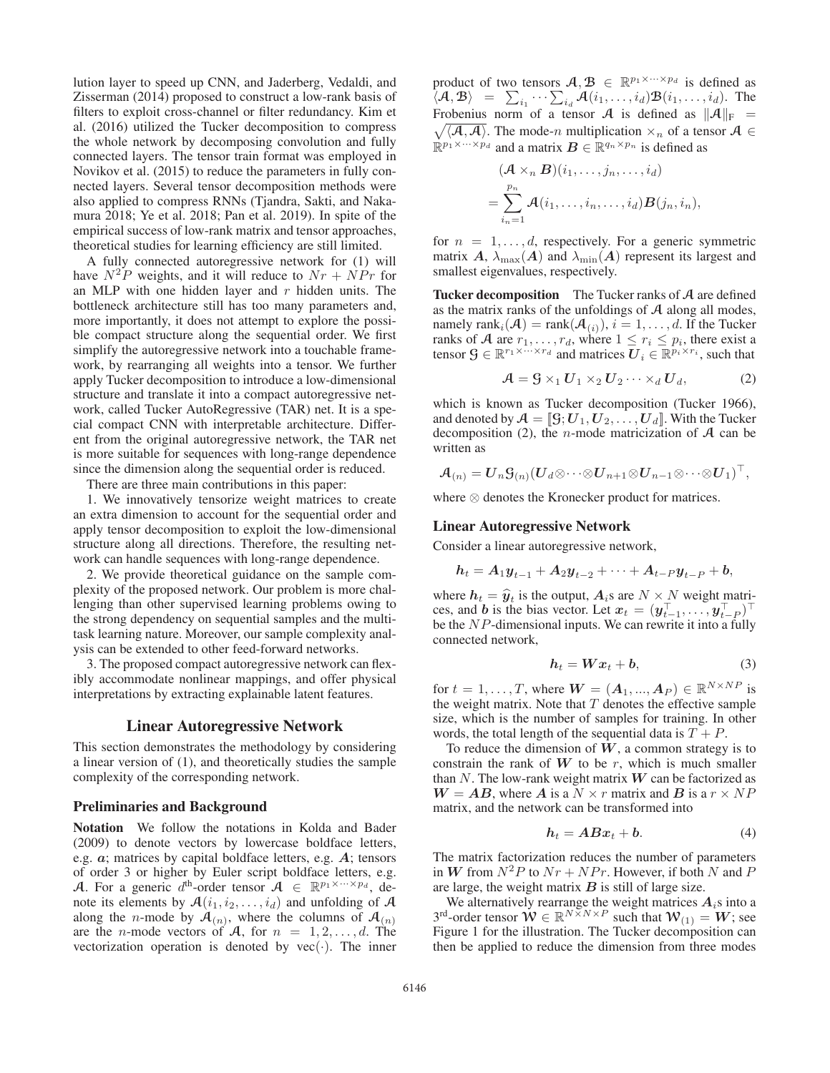lution layer to speed up CNN, and Jaderberg, Vedaldi, and Zisserman (2014) proposed to construct a low-rank basis of filters to exploit cross-channel or filter redundancy. Kim et al. (2016) utilized the Tucker decomposition to compress the whole network by decomposing convolution and fully connected layers. The tensor train format was employed in Novikov et al. (2015) to reduce the parameters in fully connected layers. Several tensor decomposition methods were also applied to compress RNNs (Tjandra, Sakti, and Nakamura 2018; Ye et al. 2018; Pan et al. 2019). In spite of the empirical success of low-rank matrix and tensor approaches, theoretical studies for learning efficiency are still limited.

A fully connected autoregressive network for (1) will have  $N^2P$  weights, and it will reduce to  $Nr + NPr$  for an MLP with one hidden layer and  $r$  hidden units. The bottleneck architecture still has too many parameters and, more importantly, it does not attempt to explore the possible compact structure along the sequential order. We first simplify the autoregressive network into a touchable framework, by rearranging all weights into a tensor. We further apply Tucker decomposition to introduce a low-dimensional structure and translate it into a compact autoregressive network, called Tucker AutoRegressive (TAR) net. It is a special compact CNN with interpretable architecture. Different from the original autoregressive network, the TAR net is more suitable for sequences with long-range dependence since the dimension along the sequential order is reduced.

There are three main contributions in this paper:

1. We innovatively tensorize weight matrices to create an extra dimension to account for the sequential order and apply tensor decomposition to exploit the low-dimensional structure along all directions. Therefore, the resulting network can handle sequences with long-range dependence.

2. We provide theoretical guidance on the sample complexity of the proposed network. Our problem is more challenging than other supervised learning problems owing to the strong dependency on sequential samples and the multitask learning nature. Moreover, our sample complexity analysis can be extended to other feed-forward networks.

3. The proposed compact autoregressive network can flexibly accommodate nonlinear mappings, and offer physical interpretations by extracting explainable latent features.

## Linear Autoregressive Network

This section demonstrates the methodology by considering a linear version of (1), and theoretically studies the sample complexity of the corresponding network.

#### Preliminaries and Background

Notation We follow the notations in Kolda and Bader (2009) to denote vectors by lowercase boldface letters, e.g. *a*; matrices by capital boldface letters, e.g. *A*; tensors of order 3 or higher by Euler script boldface letters, e.g. A. For a generic  $d^{\text{th}}$ -order tensor  $A \in \mathbb{R}^{p_1 \times \cdots \times p_d}$ , denote its elements by  $\mathcal{A}(i_1, i_2, \ldots, i_d)$  and unfolding of  $\mathcal A$ along the *n*-mode by  $\mathcal{A}_{(n)}$ , where the columns of  $\mathcal{A}_{(n)}$ are the *n*-mode vectors of A, for  $n = 1, 2, \ldots, d$ . The vectorization operation is denoted by  $vec(\cdot)$ . The inner product of two tensors  $A, B \in \mathbb{R}^{p_1 \times \cdots \times p_d}$  is defined as  $\overline{A}(A, B) = \sum_{i_1} \cdots \sum_{i_d} A(i_1, \ldots, i_d) B(i_1, \ldots, i_d).$  The Frobenius norm of a tensor  $A$  is defined as  $||A||_+ =$ Frobenius norm of a tensor A is defined as  $||A||_F =$  $\sqrt{\langle A,A \rangle}$ . The mode-n multiplication  $\times_n$  of a tensor  $A \in$  $\mathbb{R}^{p_1 \times \cdots \times p_d}$  and a matrix  $\mathbf{B} \in \mathbb{R}^{q_n \times p_n}$  is defined as

$$
(\mathcal{A} \times_n \mathcal{B})(i_1, \dots, j_n, \dots, i_d)
$$
  
= 
$$
\sum_{i_n=1}^{p_n} \mathcal{A}(i_1, \dots, i_n, \dots, i_d) \mathcal{B}(j_n, i_n),
$$

for  $n = 1, \ldots, d$ , respectively. For a generic symmetric matrix *A*,  $\lambda_{\text{max}}(A)$  and  $\lambda_{\text{min}}(A)$  represent its largest and smallest eigenvalues, respectively.

Tucker decomposition The Tucker ranks of A are defined as the matrix ranks of the unfoldings of  $A$  along all modes, namely rank $_i(\mathcal{A}) = \text{rank}(\mathcal{A}_{(i)}), i = 1, \ldots, d$ . If the Tucker ranks of A are  $r_1, \ldots, r_d$ , where  $1 \le r_i \le p_i$ , there exist a tensor  $\mathcal{G} \in \mathbb{R}^{r_1 \times \cdots \times r_d}$  and matrices  $U_i \in \mathbb{R}^{p_i \times r_i}$ , such that

$$
\mathcal{A} = \mathcal{G} \times_1 \mathbf{U}_1 \times_2 \mathbf{U}_2 \cdots \times_d \mathbf{U}_d, \tag{2}
$$

which is known as Tucker decomposition (Tucker 1966), and denoted by  $\mathcal{A} = [\mathcal{G}; U_1, U_2, \dots, U_d]$ . With the Tucker decomposition (2), the *n*-mode matricization of  $A$  can be written as

$$
\mathcal{A}_{(n)} = \boldsymbol{U}_n \boldsymbol{S}_{(n)} (\boldsymbol{U}_d \otimes \cdots \otimes \boldsymbol{U}_{n+1} \otimes \boldsymbol{U}_{n-1} \otimes \cdots \otimes \boldsymbol{U}_1)^\top,
$$

where ⊗ denotes the Kronecker product for matrices.

#### Linear Autoregressive Network

Consider a linear autoregressive network,

$$
h_t = A_1 y_{t-1} + A_2 y_{t-2} + \cdots + A_{t-P} y_{t-P} + b,
$$

where  $h_t = \hat{y}_t$  is the output,  $A_i$ s are  $N \times N$  weight matrices and **b** is the bias vector Let  $x_t = (u_t^T, u_t^T, v_t^T)$ ces, and *b* is the bias vector. Let  $x_t = (y_{t-1}^T, \ldots, y_{t-P}^T)^T$ <br>be the *NP*-dimensional inputs. We can rewrite it into a fully be the NP-dimensional inputs. We can rewrite it into a fully connected network,

$$
h_t = Wx_t + b,\t\t(3)
$$

for  $t = 1, \ldots, T$ , where  $W = (A_1, \ldots, A_P) \in \mathbb{R}^{N \times NP}$  is the weight matrix. Note that  $T$  denotes the effective sample size, which is the number of samples for training. In other words, the total length of the sequential data is  $T + P$ .

To reduce the dimension of  $W$ , a common strategy is to constrain the rank of  $W$  to be  $r$ , which is much smaller than  $N$ . The low-rank weight matrix  $W$  can be factorized as  $W = AB$ , where *A* is a  $N \times r$  matrix and *B* is a  $r \times NP$ matrix, and the network can be transformed into

$$
h_t = ABx_t + b. \t\t(4)
$$

The matrix factorization reduces the number of parameters in *W* from  $N^2P$  to  $Nr + NPr$ . However, if both N and P are large, the weight matrix *B* is still of large size.

We alternatively rearrange the weight matrices  $A_i$ s into a  $3^{rd}$ -order tensor  $\mathbf{W} \in \mathbb{R}^{N \times N \times P}$  such that  $\mathbf{W}_{(1)} = \mathbf{W}$ ; see<br>Figure 1 for the illustration. The Tucker decomposition can Figure 1 for the illustration. The Tucker decomposition can then be applied to reduce the dimension from three modes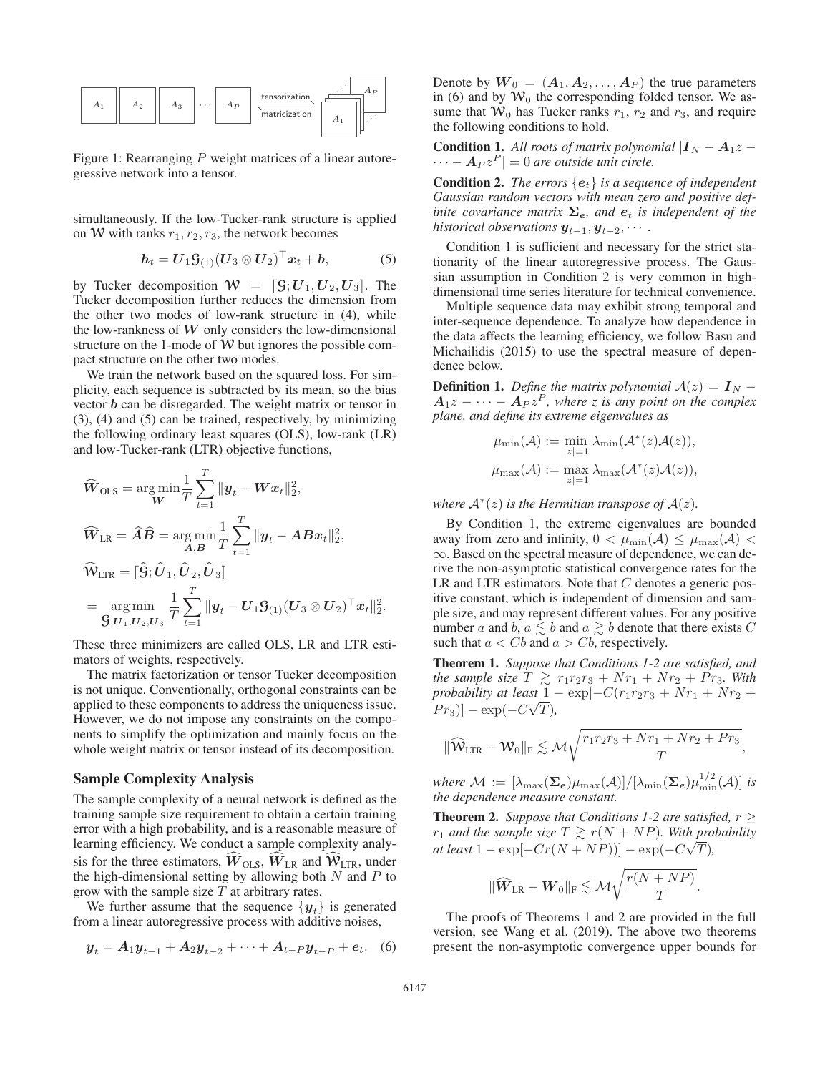

Figure 1: Rearranging P weight matrices of a linear autoregressive network into a tensor.

simultaneously. If the low-Tucker-rank structure is applied on W with ranks  $r_1, r_2, r_3$ , the network becomes

$$
h_t = U_1 \mathcal{G}_{(1)} (U_3 \otimes U_2)^\top x_t + b, \tag{5}
$$

by Tucker decomposition  $W = [[g; U_1, U_2, U_3]]$ . The Tucker decomposition further reduces the dimension from the other two modes of low-rank structure in (4), while the low-rankness of *W* only considers the low-dimensional structure on the 1-mode of  $W$  but ignores the possible compact structure on the other two modes.

We train the network based on the squared loss. For simplicity, each sequence is subtracted by its mean, so the bias vector *b* can be disregarded. The weight matrix or tensor in (3), (4) and (5) can be trained, respectively, by minimizing the following ordinary least squares (OLS), low-rank (LR) and low-Tucker-rank (LTR) objective functions,

$$
\widehat{W}_{\text{OLS}} = \underset{W}{\arg\min} \frac{1}{T} \sum_{t=1}^{T} ||\mathbf{y}_t - W\mathbf{x}_t||_2^2,
$$
\n
$$
\widehat{W}_{\text{LR}} = \widehat{A}\widehat{B} = \underset{A,B}{\arg\min} \frac{1}{T} \sum_{t=1}^{T} ||\mathbf{y}_t - AB\mathbf{x}_t||_2^2,
$$
\n
$$
\widehat{W}_{\text{LTR}} = [\widehat{G}; \widehat{U}_1, \widehat{U}_2, \widehat{U}_3]
$$
\n
$$
= \underset{G, U_1, U_2, U_3}{\arg\min} \frac{1}{T} \sum_{t=1}^{T} ||\mathbf{y}_t - U_1 \mathbf{S}_{(1)} (U_3 \otimes U_2)^\top \mathbf{x}_t||_2^2.
$$

These three minimizers are called OLS, LR and LTR estimators of weights, respectively.

The matrix factorization or tensor Tucker decomposition is not unique. Conventionally, orthogonal constraints can be applied to these components to address the uniqueness issue. However, we do not impose any constraints on the components to simplify the optimization and mainly focus on the whole weight matrix or tensor instead of its decomposition.

#### Sample Complexity Analysis

The sample complexity of a neural network is defined as the training sample size requirement to obtain a certain training error with a high probability, and is a reasonable measure of learning efficiency. We conduct a sample complexity analysis for the three estimators,  $\hat{W}_{OLS}$ ,  $\hat{W}_{LR}$  and  $\hat{W}_{LTR}$ , under the high-dimensional setting by allowing both  $N$  and  $P$  to grow with the sample size  $T$  at arbitrary rates.

We further assume that the sequence  $\{y_t\}$  is generated from a linear autoregressive process with additive noises,

$$
y_t = A_1 y_{t-1} + A_2 y_{t-2} + \dots + A_{t-P} y_{t-P} + e_t.
$$
 (6)

Denote by  $W_0 = (A_1, A_2, \ldots, A_P)$  the true parameters in (6) and by  $\mathcal{W}_0$  the corresponding folded tensor. We assume that  $\mathcal{W}_0$  has Tucker ranks  $r_1$ ,  $r_2$  and  $r_3$ , and require the following conditions to hold.

**Condition 1.** All roots of matrix polynomial  $|I_N - A_1z - A_2z|$  $\cdots - A_P z^P$  = 0 *are outside unit circle.* 

Condition 2. *The errors* {*e*t} *is a sequence of independent Gaussian random vectors with mean zero and positive definite covariance matrix*  $\Sigma_e$ *, and*  $e_t$  *is independent of the historical observations*  $y_{t-1}, y_{t-2}, \cdots$  *.* 

Condition 1 is sufficient and necessary for the strict stationarity of the linear autoregressive process. The Gaussian assumption in Condition 2 is very common in highdimensional time series literature for technical convenience.

Multiple sequence data may exhibit strong temporal and inter-sequence dependence. To analyze how dependence in the data affects the learning efficiency, we follow Basu and Michailidis (2015) to use the spectral measure of dependence below.

**Definition 1.** *Define the matrix polynomial*  $A(z) = I_N A_1z - \cdots - A_Pz^P$ , where z is any point on the complex *plane, and define its extreme eigenvalues as*

$$
\mu_{\min}(\mathcal{A}) := \min_{|z|=1} \lambda_{\min}(\mathcal{A}^*(z)\mathcal{A}(z)),
$$
  

$$
\mu_{\max}(\mathcal{A}) := \max_{|z|=1} \lambda_{\max}(\mathcal{A}^*(z)\mathcal{A}(z)),
$$

*where*  $\mathcal{A}^*(z)$  *is the Hermitian transpose of*  $\mathcal{A}(z)$ *.* 

By Condition 1, the extreme eigenvalues are bounded away from zero and infinity,  $0 < \mu_{\min}(\mathcal{A}) \leq \mu_{\max}(\mathcal{A})$ ∞. Based on the spectral measure of dependence, we can derive the non-asymptotic statistical convergence rates for the LR and LTR estimators. Note that  $C$  denotes a generic positive constant, which is independent of dimension and sample size, and may represent different values. For any positive number a and  $b, a \leq b$  and  $a \geq b$  denote that there exists C such that  $a < Cb$  and  $a > Cb$ , respectively.

Theorem 1. *Suppose that Conditions 1-2 are satisfied, and the sample size*  $T \ge r_1r_2r_3 + Nr_1 + Nr_2 + Pr_3$ . With probability at least  $1 - \exp[-C(r_1r_2r_2 + Nr_1 + Nr_2 + N_3r_3)]$ *probability at least*  $1 - \exp[-C(r_1r_2r_3 + Nr_1 + Nr_2 + P_{n})]$  $[Pr_3]$ ] – exp( $-C\sqrt{T}$ ),

$$
\|\widehat{\mathbf{W}}_{\text{LTR}} - \mathbf{W}_0\|_{\text{F}} \lesssim \mathcal{M}\sqrt{\frac{r_1r_2r_3 + Nr_1 + Nr_2 + Pr_3}{T}},
$$

*where*  $\mathcal{M} := [\lambda_{\max}(\mathbf{\Sigma}_{e})\mu_{\max}(\mathcal{A})]/[\lambda_{\min}(\mathbf{\Sigma}_{e})\mu_{\min}^{1/2}(\mathcal{A})]$  *is* the dependence measure constant *the dependence measure constant.*

**Theorem 2.** *Suppose that Conditions 1-2 are satisfied,*  $r \geq$  $r_1$  and the sample size  $T \gtrsim r(N + NP)$ . With probability  $at least 1 - \exp[-Cr(N + NP))] - \exp(-C\sqrt{T}),$ 

$$
\|\widehat{\mathbf{W}}_{\text{LR}}-\mathbf{W}_{0}\|_{\text{F}}\lesssim \mathcal{M}\sqrt{\frac{r(N+NP)}{T}}.
$$

The proofs of Theorems 1 and 2 are provided in the full version, see Wang et al. (2019). The above two theorems present the non-asymptotic convergence upper bounds for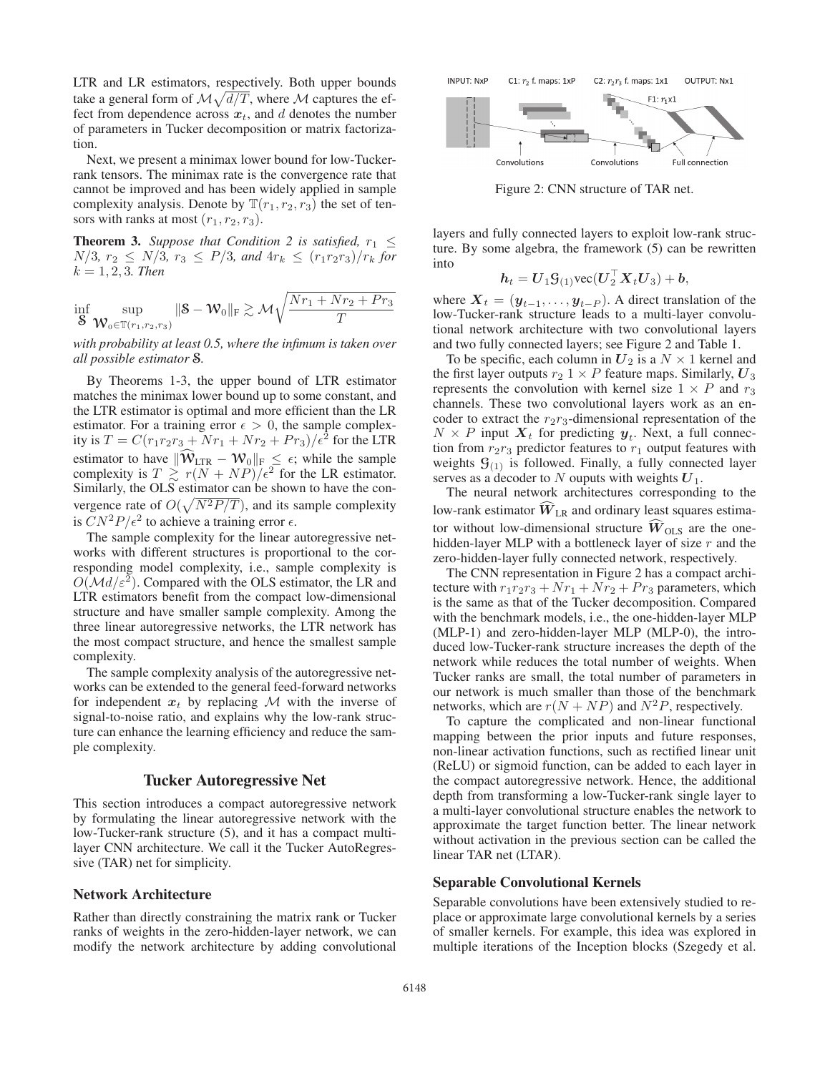LTR and LR estimators, respectively. Both upper bounds take a general form of  $\mathcal{M}\sqrt{d/T}$ , where  $\mathcal M$  captures the effect from dependence across  $x_t$ , and d denotes the number of parameters in Tucker decomposition or matrix factorization.

Next, we present a minimax lower bound for low-Tuckerrank tensors. The minimax rate is the convergence rate that cannot be improved and has been widely applied in sample complexity analysis. Denote by  $\mathbb{T}(r_1, r_2, r_3)$  the set of tensors with ranks at most  $(r_1, r_2, r_3)$ .

**Theorem 3.** *Suppose that Condition 2 is satisfied,*  $r_1 \leq$  $N/3$ ,  $r_2 \le N/3$ ,  $r_3 \le P/3$ , and  $4r_k \le (r_1r_2r_3)/r_k$  for  $k = 1, 2, 3$ *. Then* 

$$
\inf_{\mathbf{S}} \sup_{\mathbf{W}_0 \in \mathbb{T}(r_1, r_2, r_3)} \|\mathbf{S} - \mathbf{W}_0\|_{\mathrm{F}} \gtrsim \mathcal{M} \sqrt{\frac{Nr_1 + Nr_2 + Pr_3}{T}}
$$

*with probability at least 0.5, where the infimum is taken over all possible estimator* S*.*

By Theorems 1-3, the upper bound of LTR estimator matches the minimax lower bound up to some constant, and the LTR estimator is optimal and more efficient than the LR estimator. For a training error  $\epsilon > 0$ , the sample complexity is  $T = C(r_1r_2r_3 + Nr_1 + Nr_2 + Pr_3)/\epsilon^2$  for the LTR estimator to have  $\|\widehat{W}_{\text{LTR}} - W_0\|_{F} \leq \epsilon$ ; while the sample complexity is  $T \n\gtrsim r(N + NP)/\epsilon^2$  for the LR estimator.<br>Similarly the OLS estimator can be shown to have the con-Similarly, the OLS estimator can be shown to have the convergence rate of  $O(\sqrt{N^2P/T})$ , and its sample complexity<br>is  $CN^2P/c^2$  to achieve a training error  $\epsilon$ is  $C N^2 P / \epsilon^2$  to achieve a training error  $\epsilon$ .

The sample complexity for the linear autoregressive networks with different structures is proportional to the corresponding model complexity, i.e., sample complexity is  $O(\mathcal{M}d/\varepsilon^2)$ . Compared with the OLS estimator, the LR and LTR estimators benefit from the compact low-dimensional structure and have smaller sample complexity. Among the three linear autoregressive networks, the LTR network has the most compact structure, and hence the smallest sample complexity.

The sample complexity analysis of the autoregressive networks can be extended to the general feed-forward networks for independent  $x_t$  by replacing M with the inverse of signal-to-noise ratio, and explains why the low-rank structure can enhance the learning efficiency and reduce the sample complexity.

## Tucker Autoregressive Net

This section introduces a compact autoregressive network by formulating the linear autoregressive network with the low-Tucker-rank structure (5), and it has a compact multilayer CNN architecture. We call it the Tucker AutoRegressive (TAR) net for simplicity.

#### Network Architecture

Rather than directly constraining the matrix rank or Tucker ranks of weights in the zero-hidden-layer network, we can modify the network architecture by adding convolutional



Figure 2: CNN structure of TAR net.

layers and fully connected layers to exploit low-rank structure. By some algebra, the framework (5) can be rewritten into

$$
h_t = U_1 \mathcal{G}_{(1)} \text{vec}(U_2^{\top} X_t U_3) + b,
$$

where  $X_t = (\mathbf{y}_{t-1}, \dots, \mathbf{y}_{t-P})$ . A direct translation of the low-Tucker-rank structure leads to a multi-layer convolulow-Tucker-rank structure leads to a multi-layer convolutional network architecture with two convolutional layers and two fully connected layers; see Figure 2 and Table 1.

To be specific, each column in  $U_2$  is a  $N \times 1$  kernel and the first layer outputs  $r_2$  1  $\times$  P feature maps. Similarly,  $U_3$ represents the convolution with kernel size  $1 \times P$  and  $r_3$ channels. These two convolutional layers work as an encoder to extract the  $r_2r_3$ -dimensional representation of the  $N \times P$  input  $\mathbf{X}_t$  for predicting  $\mathbf{y}_t$ . Next, a full connection from  $r_2r_3$  predictor features to  $r_1$  output features with weights  $\mathcal{G}_{(1)}$  is followed. Finally, a fully connected layer serves as a decoder to N ouputs with weights  $U_1$ .

The neural network architectures corresponding to the low-rank estimator  $W_{LR}$  and ordinary least squares estimator without low-dimensional structure  $\hat{W}_{OLS}$  are the onehidden-layer MLP with a bottleneck layer of size  $r$  and the zero-hidden-layer fully connected network, respectively.

The CNN representation in Figure 2 has a compact architecture with  $r_1r_2r_3 + Nr_1 + Nr_2 + Pr_3$  parameters, which is the same as that of the Tucker decomposition. Compared with the benchmark models, i.e., the one-hidden-layer MLP (MLP-1) and zero-hidden-layer MLP (MLP-0), the introduced low-Tucker-rank structure increases the depth of the network while reduces the total number of weights. When Tucker ranks are small, the total number of parameters in our network is much smaller than those of the benchmark networks, which are  $r(N + NP)$  and  $N^2P$ , respectively.

To capture the complicated and non-linear functional mapping between the prior inputs and future responses, non-linear activation functions, such as rectified linear unit (ReLU) or sigmoid function, can be added to each layer in the compact autoregressive network. Hence, the additional depth from transforming a low-Tucker-rank single layer to a multi-layer convolutional structure enables the network to approximate the target function better. The linear network without activation in the previous section can be called the linear TAR net (LTAR).

#### Separable Convolutional Kernels

Separable convolutions have been extensively studied to replace or approximate large convolutional kernels by a series of smaller kernels. For example, this idea was explored in multiple iterations of the Inception blocks (Szegedy et al.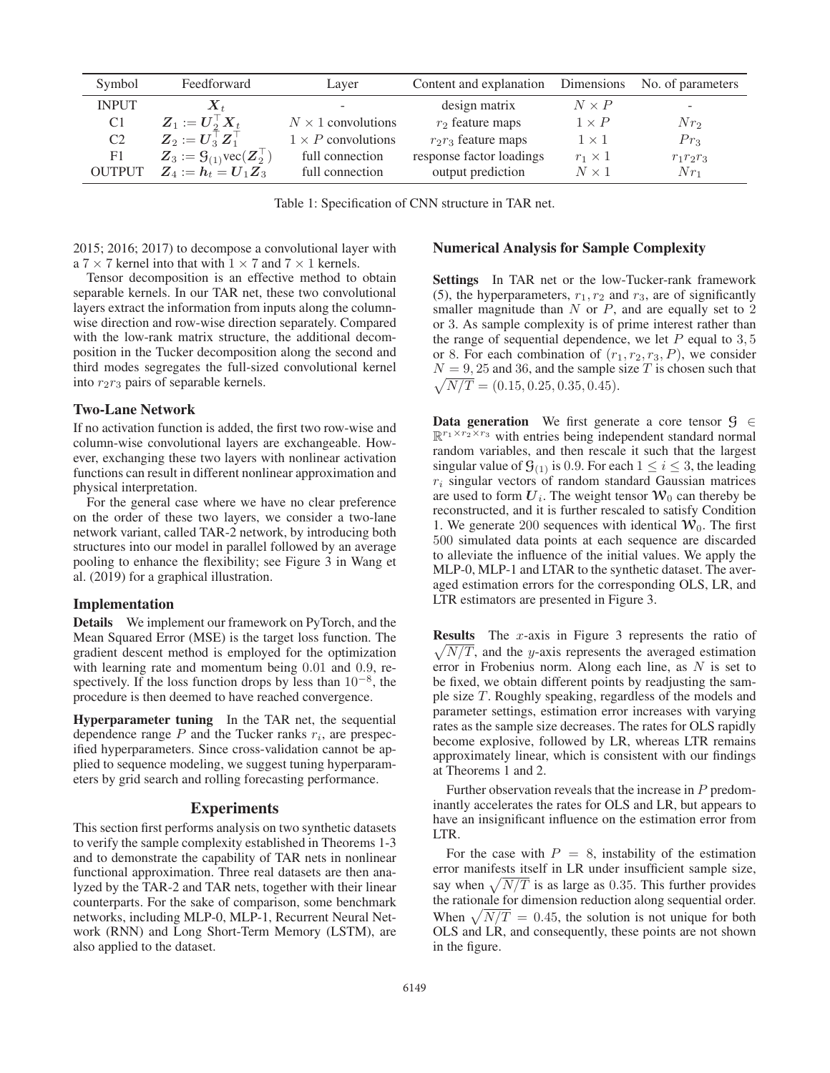| Symbol         | Feedforward                                                       | Layer                     | Content and explanation  | Dimensions     | No. of parameters |
|----------------|-------------------------------------------------------------------|---------------------------|--------------------------|----------------|-------------------|
| <b>INPUT</b>   | $\boldsymbol{X}_{t}$                                              |                           | design matrix            | $N \times P$   | ٠                 |
| C <sub>1</sub> | $Z_1 := U_2^{\perp} X_t$                                          | $N \times 1$ convolutions | $r_2$ feature maps       | $1 \times P$   | $Nr_2$            |
| C <sub>2</sub> | $\boldsymbol{Z}_2 := \boldsymbol{U}_3^\top \boldsymbol{Z}_1^\top$ | $1 \times P$ convolutions | $r_2r_3$ feature maps    | $1 \times 1$   | $Pr_3$            |
| F1             | $Z_3 := \mathcal{G}_{(1)}\text{vec}(Z_2^{\perp})$                 | full connection           | response factor loadings | $r_1 \times 1$ | $r_1r_2r_3$       |
| <b>OUTPUT</b>  | $Z_4 := h_t = U_1 Z_3$                                            | full connection           | output prediction        | $N \times 1$   | $Nr_1$            |
|                |                                                                   |                           |                          |                |                   |

Table 1: Specification of CNN structure in TAR net.

2015; 2016; 2017) to decompose a convolutional layer with a  $7 \times 7$  kernel into that with  $1 \times 7$  and  $7 \times 1$  kernels.

Tensor decomposition is an effective method to obtain separable kernels. In our TAR net, these two convolutional layers extract the information from inputs along the columnwise direction and row-wise direction separately. Compared with the low-rank matrix structure, the additional decomposition in the Tucker decomposition along the second and third modes segregates the full-sized convolutional kernel into  $r_2r_3$  pairs of separable kernels.

#### Two-Lane Network

If no activation function is added, the first two row-wise and column-wise convolutional layers are exchangeable. However, exchanging these two layers with nonlinear activation functions can result in different nonlinear approximation and physical interpretation.

For the general case where we have no clear preference on the order of these two layers, we consider a two-lane network variant, called TAR-2 network, by introducing both structures into our model in parallel followed by an average pooling to enhance the flexibility; see Figure 3 in Wang et al. (2019) for a graphical illustration.

## Implementation

Details We implement our framework on PyTorch, and the Mean Squared Error (MSE) is the target loss function. The gradient descent method is employed for the optimization with learning rate and momentum being 0.01 and 0.9, respectively. If the loss function drops by less than  $10^{-8}$ , the procedure is then deemed to have reached convergence.

Hyperparameter tuning In the TAR net, the sequential dependence range  $P$  and the Tucker ranks  $r_i$ , are prespecified hyperparameters. Since cross-validation cannot be applied to sequence modeling, we suggest tuning hyperparameters by grid search and rolling forecasting performance.

### **Experiments**

This section first performs analysis on two synthetic datasets to verify the sample complexity established in Theorems 1-3 and to demonstrate the capability of TAR nets in nonlinear functional approximation. Three real datasets are then analyzed by the TAR-2 and TAR nets, together with their linear counterparts. For the sake of comparison, some benchmark networks, including MLP-0, MLP-1, Recurrent Neural Network (RNN) and Long Short-Term Memory (LSTM), are also applied to the dataset.

## Numerical Analysis for Sample Complexity

Settings In TAR net or the low-Tucker-rank framework (5), the hyperparameters,  $r_1, r_2$  and  $r_3$ , are of significantly smaller magnitude than  $N$  or  $P$ , and are equally set to  $2$ or 3. As sample complexity is of prime interest rather than the range of sequential dependence, we let  $P$  equal to 3, 5 or 8. For each combination of  $(r_1, r_2, r_3, P)$ , we consider  $N = 9, 25$  and 36, and the sample size T is chosen such that  $\sqrt{N/T} = (0.15, 0.25, 0.35, 0.45).$ 

**Data generation** We first generate a core tensor  $\mathcal{G} \in$  $\mathbb{R}^{r_1 \times r_2 \times r_3}$  with entries being independent standard normal random variables, and then rescale it such that the largest singular value of  $\mathcal{G}_{(1)}$  is 0.9. For each  $1 \leq i \leq 3$ , the leading  $r_i$  singular vectors of random standard Gaussian matrices are used to form  $U_i$ . The weight tensor  $W_0$  can thereby be reconstructed, and it is further rescaled to satisfy Condition 1. We generate 200 sequences with identical  $W_0$ . The first 500 simulated data points at each sequence are discarded to alleviate the influence of the initial values. We apply the MLP-0, MLP-1 and LTAR to the synthetic dataset. The averaged estimation errors for the corresponding OLS, LR, and LTR estimators are presented in Figure 3.

**Results** The  $x$ -axis in Figure 3 represents the ratio of  $\sqrt{N/T}$ , and the y-axis represents the averaged estimation error in Frobenius norm. Along each line, as  $N$  is set to be fixed, we obtain different points by readjusting the sample size T. Roughly speaking, regardless of the models and parameter settings, estimation error increases with varying rates as the sample size decreases. The rates for OLS rapidly become explosive, followed by LR, whereas LTR remains approximately linear, which is consistent with our findings at Theorems 1 and 2.

Further observation reveals that the increase in P predominantly accelerates the rates for OLS and LR, but appears to have an insignificant influence on the estimation error from LTR.

For the case with  $P = 8$ , instability of the estimation error manifests itself in LR under insufficient sample size, say when  $\sqrt{N/T}$  is as large as 0.35. This further provides the rationale for dimension reduction along sequential order. When  $\sqrt{N/T}$  = 0.45, the solution is not unique for both OLS and LR, and consequently, these points are not shown in the figure.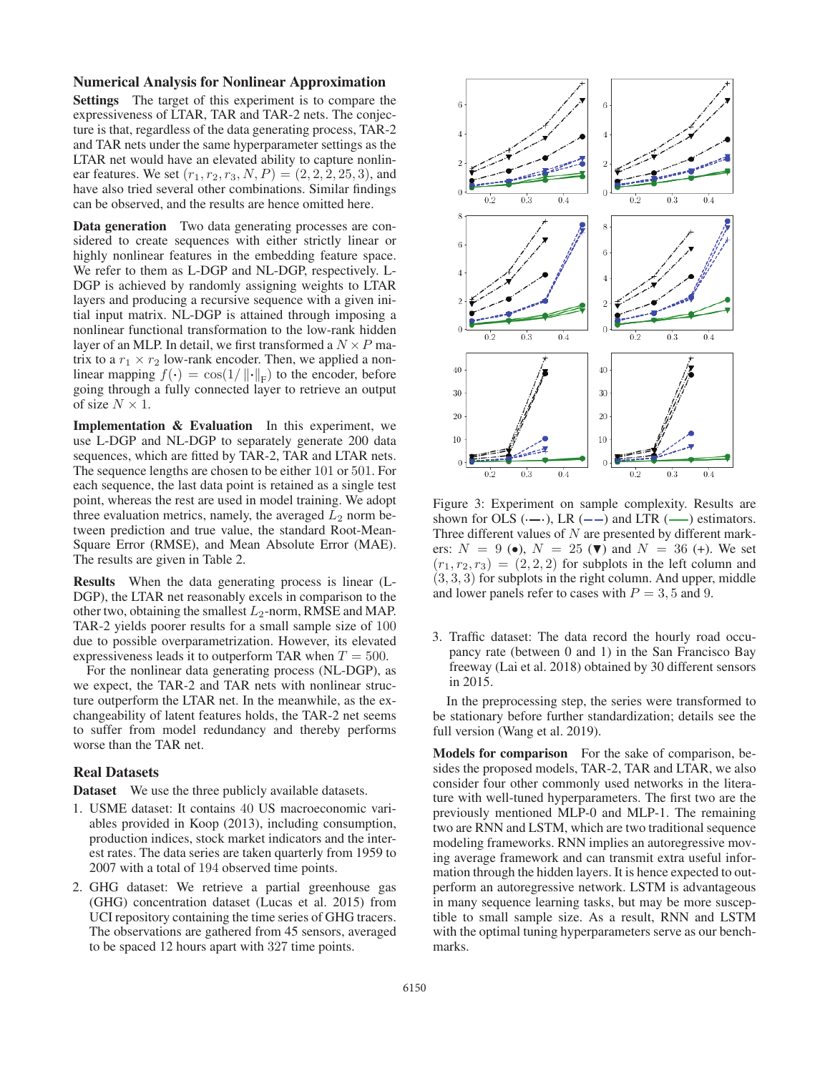#### Numerical Analysis for Nonlinear Approximation

Settings The target of this experiment is to compare the expressiveness of LTAR, TAR and TAR-2 nets. The conjecture is that, regardless of the data generating process, TAR-2 and TAR nets under the same hyperparameter settings as the LTAR net would have an elevated ability to capture nonlinear features. We set  $(r_1, r_2, r_3, N, P) = (2, 2, 2, 25, 3)$ , and have also tried several other combinations. Similar findings can be observed, and the results are hence omitted here.

Data generation Two data generating processes are considered to create sequences with either strictly linear or highly nonlinear features in the embedding feature space. We refer to them as L-DGP and NL-DGP, respectively. L-DGP is achieved by randomly assigning weights to LTAR layers and producing a recursive sequence with a given initial input matrix. NL-DGP is attained through imposing a nonlinear functional transformation to the low-rank hidden layer of an MLP. In detail, we first transformed a  $N \times P$  matrix to a  $r_1 \times r_2$  low-rank encoder. Then, we applied a nonlinear mapping  $f(\cdot) = \cos(1/\|\cdot\|_F)$  to the encoder, before going through a fully connected layer to retrieve an output of size  $N \times 1$ .

Implementation & Evaluation In this experiment, we use L-DGP and NL-DGP to separately generate 200 data sequences, which are fitted by TAR-2, TAR and LTAR nets. The sequence lengths are chosen to be either 101 or 501. For each sequence, the last data point is retained as a single test point, whereas the rest are used in model training. We adopt three evaluation metrics, namely, the averaged  $L_2$  norm between prediction and true value, the standard Root-Mean-Square Error (RMSE), and Mean Absolute Error (MAE). The results are given in Table 2.

Results When the data generating process is linear (L-DGP), the LTAR net reasonably excels in comparison to the other two, obtaining the smallest  $L_2$ -norm, RMSE and MAP. TAR-2 yields poorer results for a small sample size of 100 due to possible overparametrization. However, its elevated expressiveness leads it to outperform TAR when  $T = 500$ .

For the nonlinear data generating process (NL-DGP), as we expect, the TAR-2 and TAR nets with nonlinear structure outperform the LTAR net. In the meanwhile, as the exchangeability of latent features holds, the TAR-2 net seems to suffer from model redundancy and thereby performs worse than the TAR net.

### Real Datasets

Dataset We use the three publicly available datasets.

- 1. USME dataset: It contains 40 US macroeconomic variables provided in Koop (2013), including consumption, production indices, stock market indicators and the interest rates. The data series are taken quarterly from 1959 to 2007 with a total of 194 observed time points.
- 2. GHG dataset: We retrieve a partial greenhouse gas (GHG) concentration dataset (Lucas et al. 2015) from UCI repository containing the time series of GHG tracers. The observations are gathered from 45 sensors, averaged to be spaced 12 hours apart with 327 time points.



Figure 3: Experiment on sample complexity. Results are shown for OLS  $(-)$ , LR  $(-)$  and LTR  $($ — $)$  estimators. Three different values of  $N$  are presented by different markers:  $N = 9$  ( $\bullet$ ),  $N = 25$  ( $\nabla$ ) and  $N = 36$  (+). We set  $(r_1, r_2, r_3) = (2, 2, 2)$  for subplots in the left column and  $(3, 3, 3)$  for subplots in the right column. And upper, middle and lower panels refer to cases with  $P = 3, 5$  and 9.

3. Traffic dataset: The data record the hourly road occupancy rate (between 0 and 1) in the San Francisco Bay freeway (Lai et al. 2018) obtained by 30 different sensors in 2015.

In the preprocessing step, the series were transformed to be stationary before further standardization; details see the full version (Wang et al. 2019).

Models for comparison For the sake of comparison, besides the proposed models, TAR-2, TAR and LTAR, we also consider four other commonly used networks in the literature with well-tuned hyperparameters. The first two are the previously mentioned MLP-0 and MLP-1. The remaining two are RNN and LSTM, which are two traditional sequence modeling frameworks. RNN implies an autoregressive moving average framework and can transmit extra useful information through the hidden layers. It is hence expected to outperform an autoregressive network. LSTM is advantageous in many sequence learning tasks, but may be more susceptible to small sample size. As a result, RNN and LSTM with the optimal tuning hyperparameters serve as our benchmarks.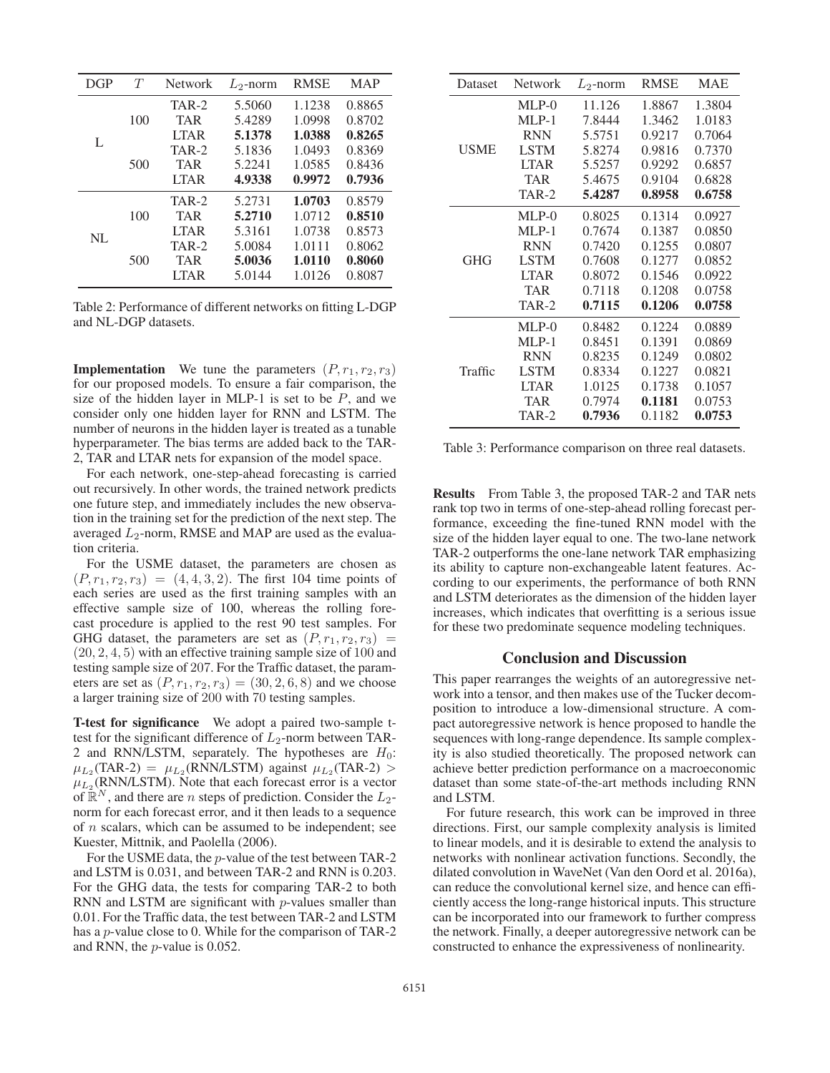| DGP | T   | Network     | $L_2$ -norm | <b>RMSE</b> | <b>MAP</b> |
|-----|-----|-------------|-------------|-------------|------------|
|     | 100 | TAR-2       | 5.5060      | 1.1238      | 0.8865     |
|     |     | <b>TAR</b>  | 5.4289      | 1.0998      | 0.8702     |
| L   |     | <b>LTAR</b> | 5.1378      | 1.0388      | 0.8265     |
|     | 500 | TAR-2       | 5.1836      | 1.0493      | 0.8369     |
|     |     | <b>TAR</b>  | 5.2241      | 1.0585      | 0.8436     |
|     |     | <b>LTAR</b> | 4.9338      | 0.9972      | 0.7936     |
|     | 100 | TAR-2       | 5.2731      | 1.0703      | 0.8579     |
|     |     | <b>TAR</b>  | 5.2710      | 1.0712      | 0.8510     |
| NI. |     | <b>LTAR</b> | 5.3161      | 1.0738      | 0.8573     |
|     | 500 | TAR-2       | 5.0084      | 1.0111      | 0.8062     |
|     |     | <b>TAR</b>  | 5.0036      | 1.0110      | 0.8060     |
|     |     | <b>LTAR</b> | 5.0144      | 1.0126      | 0.8087     |

Table 2: Performance of different networks on fitting L-DGP and NL-DGP datasets.

**Implementation** We tune the parameters  $(P, r_1, r_2, r_3)$ for our proposed models. To ensure a fair comparison, the size of the hidden layer in MLP-1 is set to be  $P$ , and we consider only one hidden layer for RNN and LSTM. The number of neurons in the hidden layer is treated as a tunable hyperparameter. The bias terms are added back to the TAR-2, TAR and LTAR nets for expansion of the model space.

For each network, one-step-ahead forecasting is carried out recursively. In other words, the trained network predicts one future step, and immediately includes the new observation in the training set for the prediction of the next step. The averaged  $L_2$ -norm, RMSE and MAP are used as the evaluation criteria.

For the USME dataset, the parameters are chosen as  $(P, r_1, r_2, r_3) = (4, 4, 3, 2)$ . The first 104 time points of each series are used as the first training samples with an effective sample size of 100, whereas the rolling forecast procedure is applied to the rest 90 test samples. For GHG dataset, the parameters are set as  $(P, r_1, r_2, r_3)$  =  $(20, 2, 4, 5)$  with an effective training sample size of 100 and testing sample size of 207. For the Traffic dataset, the parameters are set as  $(P, r_1, r_2, r_3) = (30, 2, 6, 8)$  and we choose a larger training size of 200 with 70 testing samples.

T-test for significance We adopt a paired two-sample ttest for the significant difference of  $L_2$ -norm between TAR-2 and RNN/LSTM, separately. The hypotheses are  $H_0$ :  $\mu_{L_2}$ (TAR-2) =  $\mu_{L_2}$ (RNN/LSTM) against  $\mu_{L_2}$ (TAR-2) >  $\mu_{L_2}$ (RNN/LSTM). Note that each forecast error is a vector of  $\mathbb{R}^N$ , and there are *n* steps of prediction. Consider the  $L_2$ norm for each forecast error, and it then leads to a sequence of  $n$  scalars, which can be assumed to be independent; see Kuester, Mittnik, and Paolella (2006).

For the USME data, the p-value of the test between TAR-2 and LSTM is 0.031, and between TAR-2 and RNN is 0.203. For the GHG data, the tests for comparing TAR-2 to both RNN and LSTM are significant with *p*-values smaller than 0.01. For the Traffic data, the test between TAR-2 and LSTM has a p-value close to 0. While for the comparison of TAR-2 and RNN, the p-value is 0.052.

| Dataset     | Network      | $L_2$ -norm | <b>RMSE</b> | <b>MAE</b> |
|-------------|--------------|-------------|-------------|------------|
|             | $MLP-0$      | 11.126      | 1.8867      | 1.3804     |
|             | $MI.P-1$     | 7.8444      | 1.3462      | 1.0183     |
|             | <b>RNN</b>   | 5.5751      | 0.9217      | 0.7064     |
| <b>USME</b> | <b>LSTM</b>  | 5.8274      | 0.9816      | 0.7370     |
|             | <b>LTAR</b>  | 5.5257      | 0.9292      | 0.6857     |
|             | <b>TAR</b>   | 5.4675      | 0.9104      | 0.6828     |
|             | <b>TAR-2</b> | 5.4287      | 0.8958      | 0.6758     |
|             | $MLP-0$      | 0.8025      | 0.1314      | 0.0927     |
|             | $MLP-1$      | 0.7674      | 0.1387      | 0.0850     |
|             | <b>RNN</b>   | 0.7420      | 0.1255      | 0.0807     |
| <b>GHG</b>  | <b>LSTM</b>  | 0.7608      | 0.1277      | 0.0852     |
|             | <b>LTAR</b>  | 0.8072      | 0.1546      | 0.0922     |
|             | <b>TAR</b>   | 0.7118      | 0.1208      | 0.0758     |
|             | TAR-2        | 0.7115      | 0.1206      | 0.0758     |
|             | $MLP-0$      | 0.8482      | 0.1224      | 0.0889     |
|             | $MLP-1$      | 0.8451      | 0.1391      | 0.0869     |
|             | <b>RNN</b>   | 0.8235      | 0.1249      | 0.0802     |
| Traffic     | <b>LSTM</b>  | 0.8334      | 0.1227      | 0.0821     |
|             | <b>LTAR</b>  | 1.0125      | 0.1738      | 0.1057     |
|             | TAR          | 0.7974      | 0.1181      | 0.0753     |
|             | TAR-2        | 0.7936      | 0.1182      | 0.0753     |

Table 3: Performance comparison on three real datasets.

Results From Table 3, the proposed TAR-2 and TAR nets rank top two in terms of one-step-ahead rolling forecast performance, exceeding the fine-tuned RNN model with the size of the hidden layer equal to one. The two-lane network TAR-2 outperforms the one-lane network TAR emphasizing its ability to capture non-exchangeable latent features. According to our experiments, the performance of both RNN and LSTM deteriorates as the dimension of the hidden layer increases, which indicates that overfitting is a serious issue for these two predominate sequence modeling techniques.

### Conclusion and Discussion

This paper rearranges the weights of an autoregressive network into a tensor, and then makes use of the Tucker decomposition to introduce a low-dimensional structure. A compact autoregressive network is hence proposed to handle the sequences with long-range dependence. Its sample complexity is also studied theoretically. The proposed network can achieve better prediction performance on a macroeconomic dataset than some state-of-the-art methods including RNN and LSTM.

For future research, this work can be improved in three directions. First, our sample complexity analysis is limited to linear models, and it is desirable to extend the analysis to networks with nonlinear activation functions. Secondly, the dilated convolution in WaveNet (Van den Oord et al. 2016a), can reduce the convolutional kernel size, and hence can efficiently access the long-range historical inputs. This structure can be incorporated into our framework to further compress the network. Finally, a deeper autoregressive network can be constructed to enhance the expressiveness of nonlinearity.